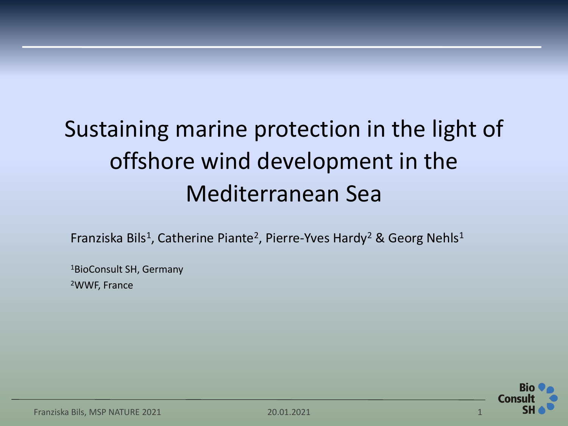# Sustaining marine protection in the light of offshore wind development in the Mediterranean Sea

Franziska Bils<sup>1</sup>, Catherine Piante<sup>2</sup>, Pierre-Yves Hardy<sup>2</sup> & Georg Nehls<sup>1</sup>

<sup>1</sup>BioConsult SH, Germany <sup>2</sup>WWF, France

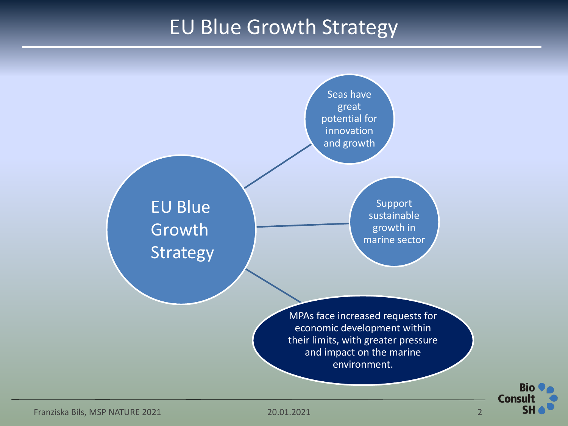## EU Blue Growth Strategy



Franziska Bils, MSP NATURE 2021 20.01.2021 2

**Bio** 

**SH**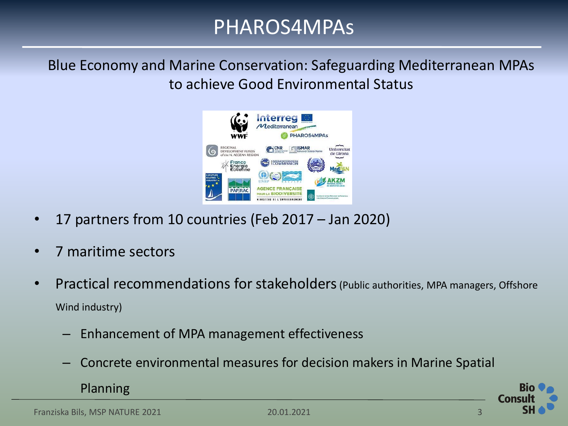Blue Economy and Marine Conservation: Safeguarding Mediterranean MPAs to achieve Good Environmental Status



- 17 partners from 10 countries (Feb 2017 Jan 2020)
- 7 maritime sectors
- Practical recommendations for stakeholders (Public authorities, MPA managers, Offshore Wind industry)
	- Enhancement of MPA management effectiveness
	- Concrete environmental measures for decision makers in Marine Spatial

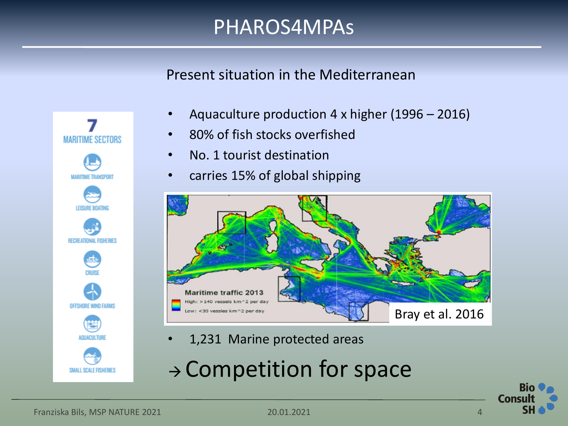Present situation in the Mediterranean

- Aquaculture production 4 x higher (1996 2016)
- 80% of fish stocks overfished
- No. 1 tourist destination
- carries 15% of global shipping



- 1,231 Marine protected areas
- <sup>→</sup> Competition for space



**MARITIME SECTORS** 

RECREATIONAL FISHERIES

ఆ

**OFFSHORE WIND FARMS** 

SMALL SCALE FISHERIES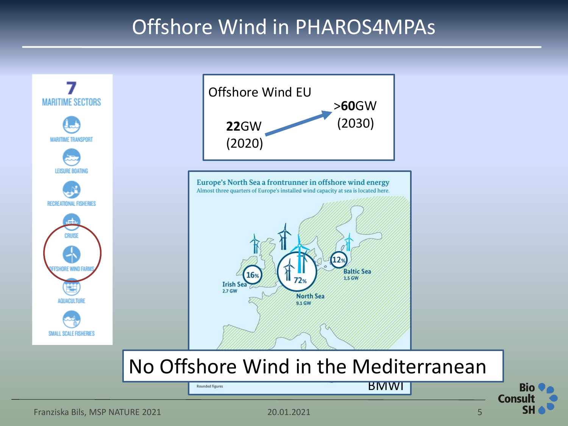## Offshore Wind in PHAROS4MPAs

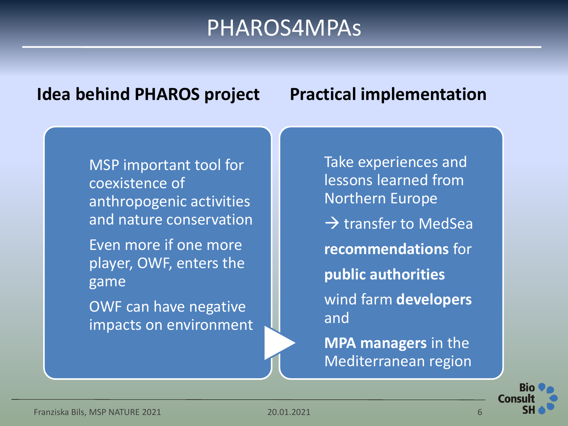#### **Idea behind PHAROS project Practical implementation**

MSP important tool for coexistence of anthropogenic activities and nature conservation Even more if one more player, OWF, enters the game

OWF can have negative impacts on environment Take experiences and lessons learned from Northern Europe  $\rightarrow$  transfer to MedSea **recommendations** for **public authorities** wind farm **developers** and

**MPA managers** in the Mediterranean region

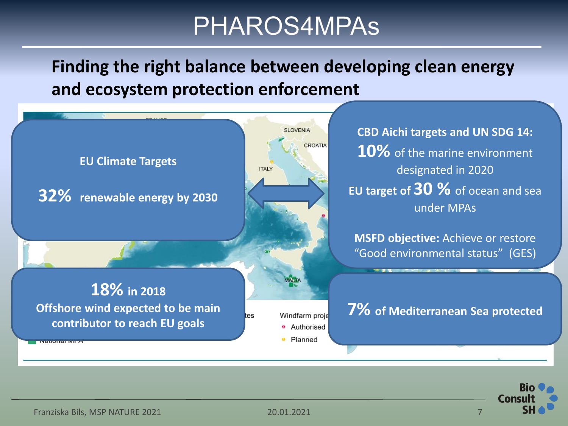**Finding the right balance between developing clean energy and ecosystem protection enforcement**



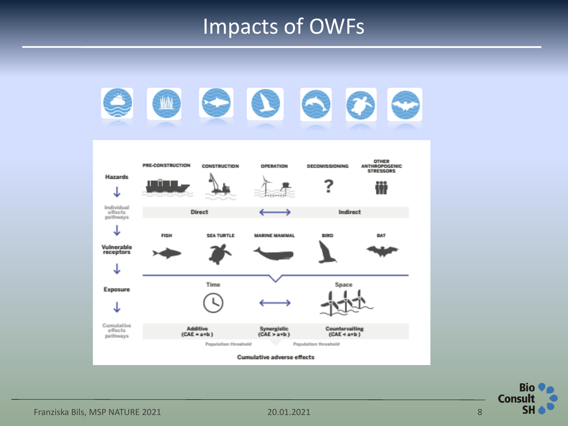## Impacts of OWFs



**Bio Consult SH**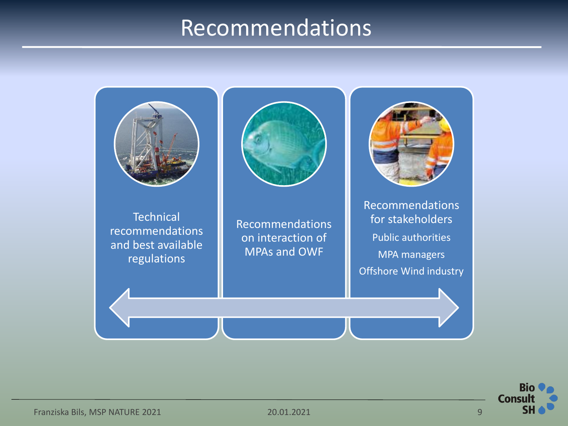## Recommendations



**Bio Consu** Sŀ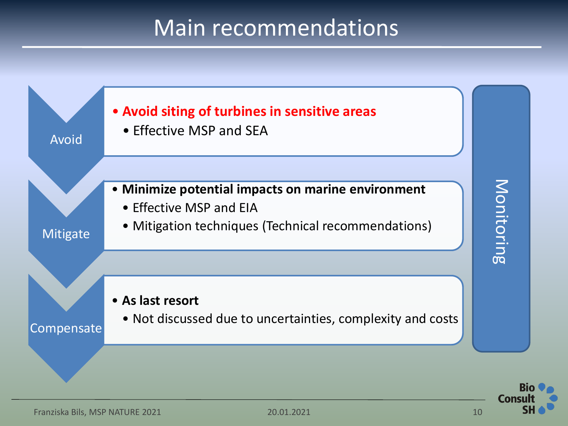# Main recommendations



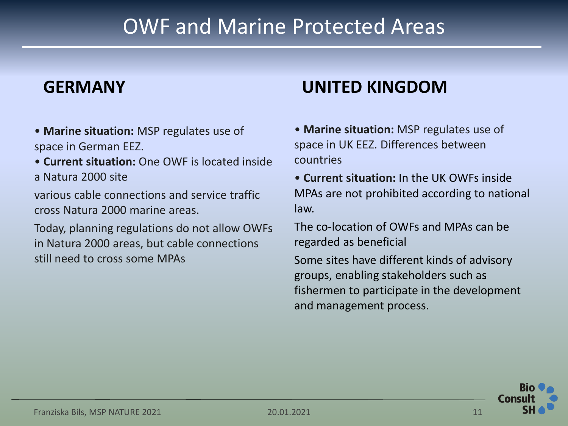## OWF and Marine Protected Areas

#### **GERMANY**

- **Marine situation:** MSP regulates use of space in German EEZ.
- **Current situation:** One OWF is located inside a Natura 2000 site

various cable connections and service traffic cross Natura 2000 marine areas.

Today, planning regulations do not allow OWFs in Natura 2000 areas, but cable connections still need to cross some MPAs

## **UNITED KINGDOM**

- **Marine situation:** MSP regulates use of space in UK EEZ. Differences between countries
- **Current situation:** In the UK OWFs inside MPAs are not prohibited according to national law.

The co-location of OWFs and MPAs can be regarded as beneficial

Some sites have different kinds of advisory groups, enabling stakeholders such as fishermen to participate in the development and management process.

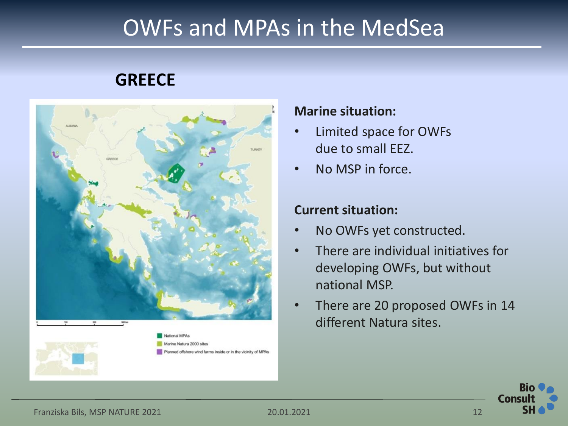## OWFs and MPAs in the MedSea

## **GREECE**



#### **Marine situation:**

- Limited space for OWFs due to small EEZ.
- No MSP in force.

#### **Current situation:**

- No OWFs yet constructed.
- There are individual initiatives for developing OWFs, but without national MSP.
- There are 20 proposed OWFs in 14 different Natura sites.

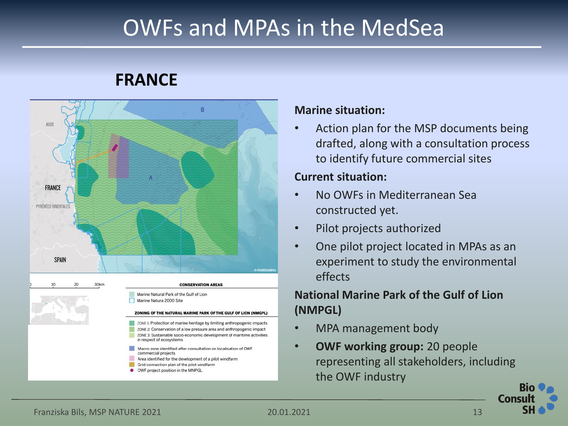# OWFs and MPAs in the MedSea

## **FRANCE**



#### **Marine situation:**

• Action plan for the MSP documents being drafted, along with a consultation process to identify future commercial sites

#### **Current situation:**

- No OWFs in Mediterranean Sea constructed yet.
- Pilot projects authorized
- One pilot project located in MPAs as an experiment to study the environmental effects

#### **National Marine Park of the Gulf of Lion (NMPGL)**

- MPA management body
- **OWF working group:** 20 people representing all stakeholders, including the OWF industry

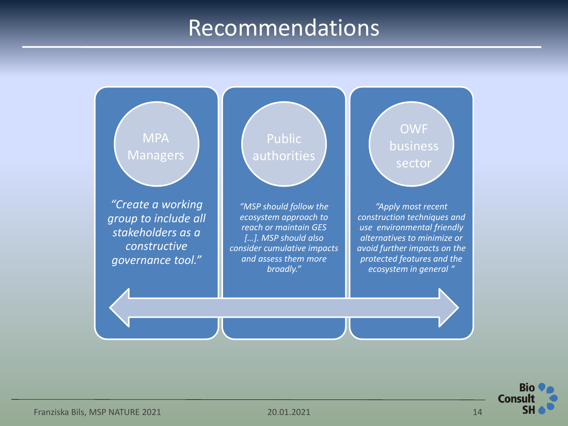## Recommendations



**Bio Consu** SΗ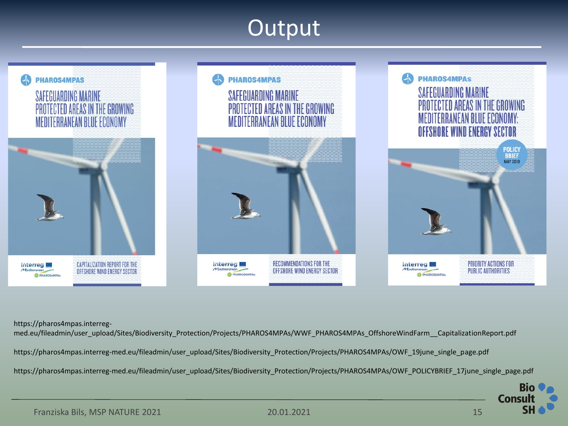# Output



https://pharos4mpas.interreg-

med.eu/fileadmin/user\_upload/Sites/Biodiversity\_Protection/Projects/PHAROS4MPAs/WWF\_PHAROS4MPAs\_OffshoreWindFarm\_\_CapitalizationReport.pdf https://pharos4mpas.interreg-med.eu/fileadmin/user\_upload/Sites/Biodiversity\_Protection/Projects/PHAROS4MPAs/OWF\_19june\_single\_page.pdf https://pharos4mpas.interreg-med.eu/fileadmin/user\_upload/Sites/Biodiversity\_Protection/Projects/PHAROS4MPAs/OWF\_POLICYBRIEF\_17june\_single\_page.pdf